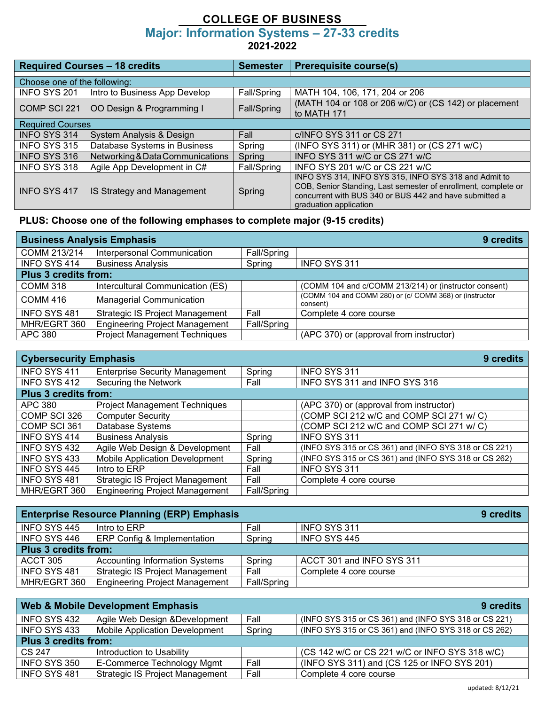## **COLLEGE OF BUSINESS Major: Information Systems – 27-33 credits 2021-2022**

| <b>Required Courses - 18 credits</b> |                                  | <b>Semester</b> | <b>Prerequisite course(s)</b>                                                                                                                                                                                |  |
|--------------------------------------|----------------------------------|-----------------|--------------------------------------------------------------------------------------------------------------------------------------------------------------------------------------------------------------|--|
| Choose one of the following:         |                                  |                 |                                                                                                                                                                                                              |  |
| INFO SYS 201                         | Intro to Business App Develop    | Fall/Spring     | MATH 104, 106, 171, 204 or 206                                                                                                                                                                               |  |
| COMP SCI 221                         | OO Design & Programming I        | Fall/Spring     | (MATH 104 or 108 or 206 w/C) or (CS 142) or placement<br>to MATH 171                                                                                                                                         |  |
| <b>Required Courses</b>              |                                  |                 |                                                                                                                                                                                                              |  |
| <b>INFO SYS 314</b>                  | System Analysis & Design         | Fall            | c/INFO SYS 311 or CS 271                                                                                                                                                                                     |  |
| INFO SYS 315                         | Database Systems in Business     | Spring          | (INFO SYS 311) or (MHR 381) or (CS 271 w/C)                                                                                                                                                                  |  |
| <b>INFO SYS 316</b>                  | Networking & Data Communications | Spring          | INFO SYS 311 w/C or CS 271 w/C                                                                                                                                                                               |  |
| INFO SYS 318                         | Agile App Development in C#      | Fall/Spring     | INFO SYS 201 w/C or CS 221 w/C                                                                                                                                                                               |  |
| INFO SYS 417                         | IS Strategy and Management       | Spring          | INFO SYS 314. INFO SYS 315. INFO SYS 318 and Admit to<br>COB, Senior Standing, Last semester of enrollment, complete or<br>concurrent with BUS 340 or BUS 442 and have submitted a<br>graduation application |  |

## **PLUS: Choose one of the following emphases to complete major (9-15 credits)**

| <b>Business Analysis Emphasis</b> |                                        |             | 9 credits                                                           |
|-----------------------------------|----------------------------------------|-------------|---------------------------------------------------------------------|
| COMM 213/214                      | Interpersonal Communication            | Fall/Spring |                                                                     |
| <b>INFO SYS 414</b>               | <b>Business Analysis</b>               | Spring      | INFO SYS 311                                                        |
| <b>Plus 3 credits from:</b>       |                                        |             |                                                                     |
| <b>COMM 318</b>                   | Intercultural Communication (ES)       |             | (COMM 104 and c/COMM 213/214) or (instructor consent)               |
| COMM 416                          | <b>Managerial Communication</b>        |             | (COMM 104 and COMM 280) or (c/ COMM 368) or (instructor<br>consent) |
| <b>INFO SYS 481</b>               | <b>Strategic IS Project Management</b> | Fall        | Complete 4 core course                                              |
| MHR/EGRT 360                      | <b>Engineering Project Management</b>  | Fall/Spring |                                                                     |
| APC 380                           | <b>Project Management Techniques</b>   |             | (APC 370) or (approval from instructor)                             |

| <b>Cybersecurity Emphasis</b> |                                        |             | 9 credits                                             |
|-------------------------------|----------------------------------------|-------------|-------------------------------------------------------|
| INFO SYS 411                  | <b>Enterprise Security Management</b>  | Spring      | INFO SYS 311                                          |
| <b>INFO SYS 412</b>           | Securing the Network                   | Fall        | INFO SYS 311 and INFO SYS 316                         |
| <b>Plus 3 credits from:</b>   |                                        |             |                                                       |
| APC 380                       | <b>Project Management Techniques</b>   |             | (APC 370) or (approval from instructor)               |
| COMP SCI 326                  | <b>Computer Security</b>               |             | (COMP SCI 212 w/C and COMP SCI 271 w/ C)              |
| COMP SCI 361                  | Database Systems                       |             | (COMP SCI 212 w/C and COMP SCI 271 w/ C)              |
| <b>INFO SYS 414</b>           | <b>Business Analysis</b>               | Spring      | <b>INFO SYS 311</b>                                   |
| <b>INFO SYS 432</b>           | Agile Web Design & Development         | Fall        | (INFO SYS 315 or CS 361) and (INFO SYS 318 or CS 221) |
| INFO SYS 433                  | <b>Mobile Application Development</b>  | Spring      | (INFO SYS 315 or CS 361) and (INFO SYS 318 or CS 262) |
| <b>INFO SYS 445</b>           | Intro to ERP                           | Fall        | <b>INFO SYS 311</b>                                   |
| INFO SYS 481                  | <b>Strategic IS Project Management</b> | Fall        | Complete 4 core course                                |
| MHR/EGRT 360                  | <b>Engineering Project Management</b>  | Fall/Spring |                                                       |

| <b>Enterprise Resource Planning (ERP) Emphasis</b> |                                        |             | 9 credits                 |  |
|----------------------------------------------------|----------------------------------------|-------------|---------------------------|--|
| INFO SYS 445                                       | Intro to ERP                           | Fall        | INFO SYS 311              |  |
| INFO SYS 446                                       | <b>ERP Config &amp; Implementation</b> | Spring      | INFO SYS 445              |  |
| <b>Plus 3 credits from:</b>                        |                                        |             |                           |  |
| ACCT 305                                           | <b>Accounting Information Systems</b>  | Spring      | ACCT 301 and INFO SYS 311 |  |
| <b>INFO SYS 481</b>                                | <b>Strategic IS Project Management</b> | Fall        | Complete 4 core course    |  |
| MHR/EGRT 360                                       | <b>Engineering Project Management</b>  | Fall/Spring |                           |  |

| <b>Web &amp; Mobile Development Emphasis</b> |                                        | 9 credits |                                                       |
|----------------------------------------------|----------------------------------------|-----------|-------------------------------------------------------|
| INFO SYS 432                                 | Agile Web Design & Development         | Fall      | (INFO SYS 315 or CS 361) and (INFO SYS 318 or CS 221) |
| INFO SYS 433                                 | <b>Mobile Application Development</b>  | Spring    | (INFO SYS 315 or CS 361) and (INFO SYS 318 or CS 262) |
| <b>Plus 3 credits from:</b>                  |                                        |           |                                                       |
| CS 247                                       | Introduction to Usability              |           | (CS 142 w/C or CS 221 w/C or INFO SYS 318 w/C)        |
| INFO SYS 350                                 | E-Commerce Technology Mgmt             | Fall      | (INFO SYS 311) and (CS 125 or INFO SYS 201)           |
| INFO SYS 481                                 | <b>Strategic IS Project Management</b> | Fall      | Complete 4 core course                                |